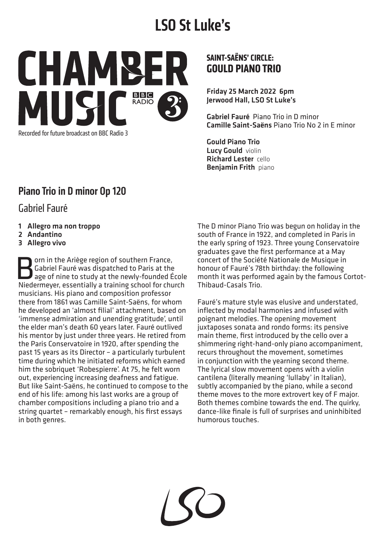# **LSO St Luke's**



Recorded for future broadcast on BBC Radio 3

#### **SAINT-SAËNS' CIRCLE: GOULD PIANO TRIO**

Friday 25 March 2022 6pm Jerwood Hall, LSO St Luke's

Gabriel Fauré Piano Trio in D minor Camille Saint-Saëns Piano Trio No 2 in E minor

Gould Piano Trio Lucy Gould violin Richard Lester cello Benjamin Frith piano

## Piano Trio in D minor Op 120

Gabriel Fauré

- 1 Allegro ma non troppo
- 2 Andantino
- 3 Allegro vivo

**Born in the Ariège region of southern France,<br>Gabriel Fauré was dispatched to Paris at the age of nine to study at the newly-founded É<br>Niedermever essentially a training school for chu** Gabriel Fauré was dispatched to Paris at the age of nine to study at the newly-founded École Niedermeyer, essentially a training school for church musicians. His piano and composition professor there from 1861 was Camille Saint-Saëns, for whom he developed an 'almost filial' attachment, based on 'immense admiration and unending gratitude', until the elder man's death 60 years later. Fauré outlived his mentor by just under three years. He retired from the Paris Conservatoire in 1920, after spending the past 15 years as its Director – a particularly turbulent time during which he initiated reforms which earned him the sobriquet 'Robespierre'. At 75, he felt worn out, experiencing increasing deafness and fatigue. But like Saint-Saëns, he continued to compose to the end of his life: among his last works are a group of chamber compositions including a piano trio and a string quartet – remarkably enough, his first essays in both genres.

The D minor Piano Trio was begun on holiday in the south of France in 1922, and completed in Paris in the early spring of 1923. Three young Conservatoire graduates gave the first performance at a May concert of the Société Nationale de Musique in honour of Fauré's 78th birthday: the following month it was performed again by the famous Cortot-Thibaud-Casals Trio.

Fauré's mature style was elusive and understated, inflected by modal harmonies and infused with poignant melodies. The opening movement juxtaposes sonata and rondo forms: its pensive main theme, first introduced by the cello over a shimmering right-hand-only piano accompaniment, recurs throughout the movement, sometimes in conjunction with the yearning second theme. The lyrical slow movement opens with a violin cantilena (literally meaning 'lullaby' in Italian), subtly accompanied by the piano, while a second theme moves to the more extrovert key of F major. Both themes combine towards the end. The quirky, dance-like finale is full of surprises and uninhibited humorous touches.